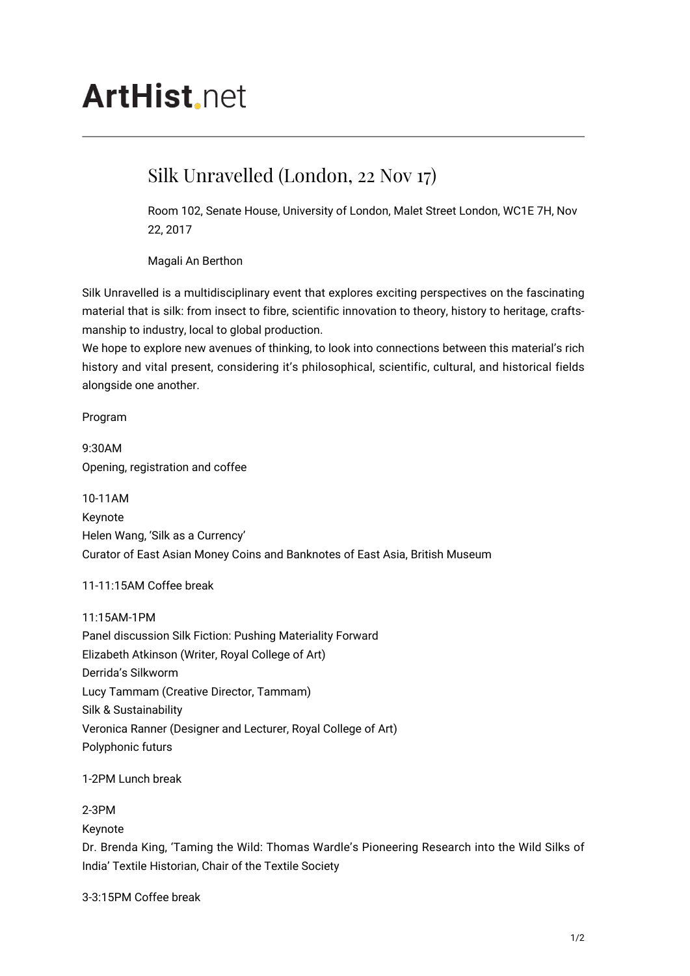# **ArtHist**, net

# Silk Unravelled (London, 22 Nov 17)

Room 102, Senate House, University of London, Malet Street London, WC1E 7H, Nov 22, 2017

Magali An Berthon

Silk Unravelled is a multidisciplinary event that explores exciting perspectives on the fascinating material that is silk: from insect to fibre, scientific innovation to theory, history to heritage, craftsmanship to industry, local to global production.

We hope to explore new avenues of thinking, to look into connections between this material's rich history and vital present, considering it's philosophical, scientific, cultural, and historical fields alongside one another.

Program

9:30AM Opening, registration and coffee

10-11AM Keynote Helen Wang, 'Silk as a Currency' Curator of East Asian Money Coins and Banknotes of East Asia, British Museum

## 11-11:15AM Coffee break

11:15AM-1PM Panel discussion Silk Fiction: Pushing Materiality Forward Elizabeth Atkinson (Writer, Royal College of Art) Derrida's Silkworm Lucy Tammam (Creative Director, Tammam) Silk & Sustainability Veronica Ranner (Designer and Lecturer, Royal College of Art) Polyphonic futurs

1-2PM Lunch break

2-3PM

Keynote

Dr. Brenda King, 'Taming the Wild: Thomas Wardle's Pioneering Research into the Wild Silks of India' Textile Historian, Chair of the Textile Society

3-3:15PM Coffee break